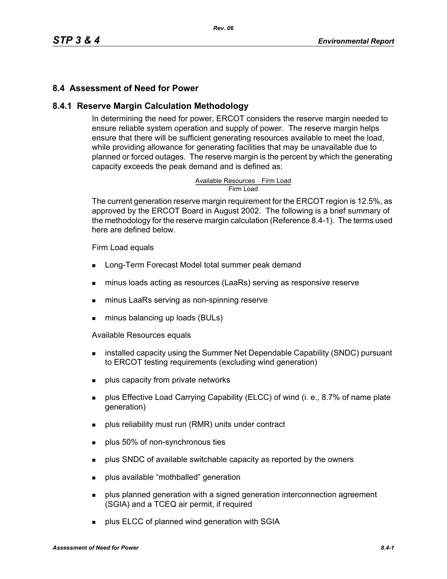#### **8.4 Assessment of Need for Power**

#### **8.4.1 Reserve Margin Calculation Methodology**

In determining the need for power, ERCOT considers the reserve margin needed to ensure reliable system operation and supply of power. The reserve margin helps ensure that there will be sufficient generating resources available to meet the load, while providing allowance for generating facilities that may be unavailable due to planned or forced outages. The reserve margin is the percent by which the generating capacity exceeds the peak demand and is defined as:

# Available Resources – Firm Load<br>Firm Load

The current generation reserve margin requirement for the ERCOT region is 12.5%, as approved by the ERCOT Board in August 2002. The following is a brief summary of the methodology for the reserve margin calculation (Reference 8.4-1). The terms used here are defined below.

#### Firm Load equals

- **Long-Term Forecast Model total summer peak demand**
- minus loads acting as resources (LaaRs) serving as responsive reserve
- minus LaaRs serving as non-spinning reserve
- minus balancing up loads (BULs)

Available Resources equals

- **EXECT** installed capacity using the Summer Net Dependable Capability (SNDC) pursuant to ERCOT testing requirements (excluding wind generation)
- **plus capacity from private networks**
- plus Effective Load Carrying Capability (ELCC) of wind (i. e., 8.7% of name plate generation)
- plus reliability must run (RMR) units under contract
- **plus 50% of non-synchronous ties**
- **Propelled SNDC** of available switchable capacity as reported by the owners
- **plus available "mothballed" generation**
- **Proplus planned generation with a signed generation interconnection agreement** (SGIA) and a TCEQ air permit, if required
- **plus ELCC of planned wind generation with SGIA**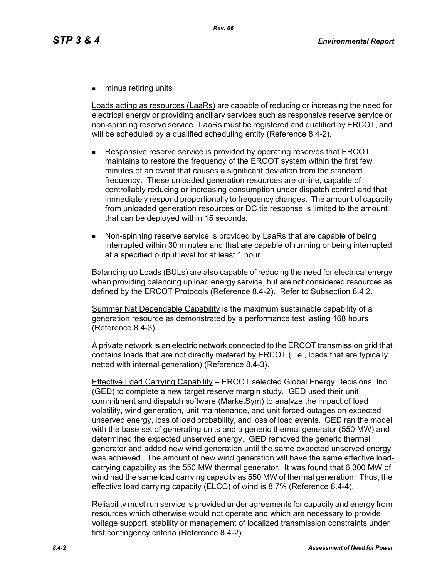**numinus retiring units** 

Loads acting as resources (LaaRs) are capable of reducing or increasing the need for electrical energy or providing ancillary services such as responsive reserve service or non-spinning reserve service. LaaRs must be registered and qualified by ERCOT, and will be scheduled by a qualified scheduling entity (Reference 8.4-2).

- Responsive reserve service is provided by operating reserves that ERCOT maintains to restore the frequency of the ERCOT system within the first few minutes of an event that causes a significant deviation from the standard frequency. These unloaded generation resources are online, capable of controllably reducing or increasing consumption under dispatch control and that immediately respond proportionally to frequency changes. The amount of capacity from unloaded generation resources or DC tie response is limited to the amount that can be deployed within 15 seconds.
- Non-spinning reserve service is provided by LaaRs that are capable of being interrupted within 30 minutes and that are capable of running or being interrupted at a specified output level for at least 1 hour.

Balancing up Loads (BULs) are also capable of reducing the need for electrical energy when providing balancing up load energy service, but are not considered resources as defined by the ERCOT Protocols (Reference 8.4-2). Refer to Subsection 8.4.2.

Summer Net Dependable Capability is the maximum sustainable capability of a generation resource as demonstrated by a performance test lasting 168 hours (Reference 8.4-3).

A private network is an electric network connected to the ERCOT transmission grid that contains loads that are not directly metered by ERCOT (i. e., loads that are typically netted with internal generation) (Reference 8.4-3).

Effective Load Carrying Capability – ERCOT selected Global Energy Decisions, Inc. (GED) to complete a new target reserve margin study. GED used their unit commitment and dispatch software (MarketSym) to analyze the impact of load volatility, wind generation, unit maintenance, and unit forced outages on expected unserved energy, loss of load probability, and loss of load events. GED ran the model with the base set of generating units and a generic thermal generator (550 MW) and determined the expected unserved energy. GED removed the generic thermal generator and added new wind generation until the same expected unserved energy was achieved. The amount of new wind generation will have the same effective loadcarrying capability as the 550 MW thermal generator. It was found that 6,300 MW of wind had the same load carrying capacity as 550 MW of thermal generation. Thus, the effective load carrying capacity (ELCC) of wind is 8.7% (Reference 8.4-4).

Reliability must run service is provided under agreements for capacity and energy from resources which otherwise would not operate and which are necessary to provide voltage support, stability or management of localized transmission constraints under first contingency criteria (Reference 8.4-2)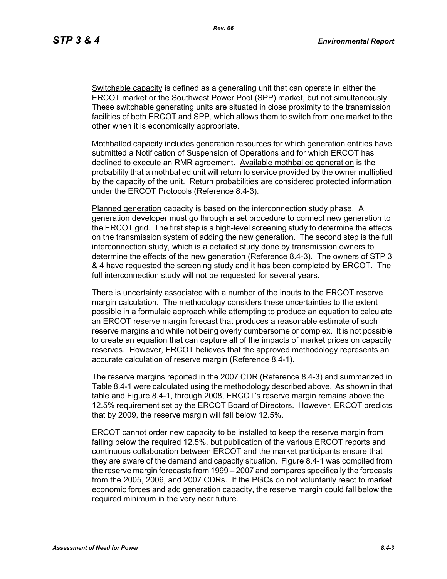*Rev. 06*

Switchable capacity is defined as a generating unit that can operate in either the ERCOT market or the Southwest Power Pool (SPP) market, but not simultaneously. These switchable generating units are situated in close proximity to the transmission facilities of both ERCOT and SPP, which allows them to switch from one market to the other when it is economically appropriate.

Mothballed capacity includes generation resources for which generation entities have submitted a Notification of Suspension of Operations and for which ERCOT has declined to execute an RMR agreement. Available mothballed generation is the probability that a mothballed unit will return to service provided by the owner multiplied by the capacity of the unit. Return probabilities are considered protected information under the ERCOT Protocols (Reference 8.4-3).

Planned generation capacity is based on the interconnection study phase. A generation developer must go through a set procedure to connect new generation to the ERCOT grid. The first step is a high-level screening study to determine the effects on the transmission system of adding the new generation. The second step is the full interconnection study, which is a detailed study done by transmission owners to determine the effects of the new generation (Reference 8.4-3). The owners of STP 3 & 4 have requested the screening study and it has been completed by ERCOT. The full interconnection study will not be requested for several years.

There is uncertainty associated with a number of the inputs to the ERCOT reserve margin calculation. The methodology considers these uncertainties to the extent possible in a formulaic approach while attempting to produce an equation to calculate an ERCOT reserve margin forecast that produces a reasonable estimate of such reserve margins and while not being overly cumbersome or complex. It is not possible to create an equation that can capture all of the impacts of market prices on capacity reserves. However, ERCOT believes that the approved methodology represents an accurate calculation of reserve margin (Reference 8.4-1).

The reserve margins reported in the 2007 CDR (Reference 8.4-3) and summarized in Table 8.4-1 were calculated using the methodology described above. As shown in that table and Figure 8.4-1, through 2008, ERCOT's reserve margin remains above the 12.5% requirement set by the ERCOT Board of Directors. However, ERCOT predicts that by 2009, the reserve margin will fall below 12.5%.

ERCOT cannot order new capacity to be installed to keep the reserve margin from falling below the required 12.5%, but publication of the various ERCOT reports and continuous collaboration between ERCOT and the market participants ensure that they are aware of the demand and capacity situation. Figure 8.4-1 was compiled from the reserve margin forecasts from 1999 – 2007 and compares specifically the forecasts from the 2005, 2006, and 2007 CDRs. If the PGCs do not voluntarily react to market economic forces and add generation capacity, the reserve margin could fall below the required minimum in the very near future.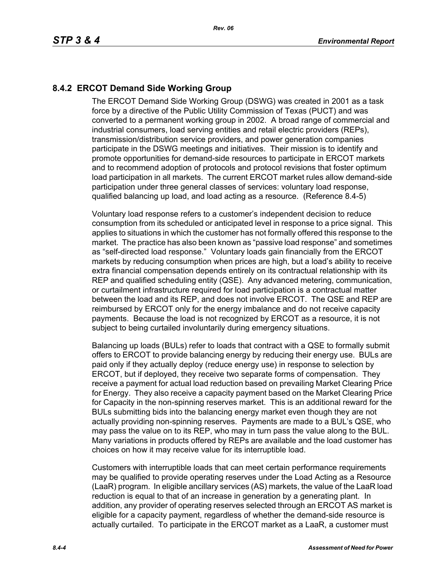## **8.4.2 ERCOT Demand Side Working Group**

The ERCOT Demand Side Working Group (DSWG) was created in 2001 as a task force by a directive of the Public Utility Commission of Texas (PUCT) and was converted to a permanent working group in 2002. A broad range of commercial and industrial consumers, load serving entities and retail electric providers (REPs), transmission/distribution service providers, and power generation companies participate in the DSWG meetings and initiatives. Their mission is to identify and promote opportunities for demand-side resources to participate in ERCOT markets and to recommend adoption of protocols and protocol revisions that foster optimum load participation in all markets. The current ERCOT market rules allow demand-side participation under three general classes of services: voluntary load response, qualified balancing up load, and load acting as a resource. (Reference 8.4-5)

Voluntary load response refers to a customer's independent decision to reduce consumption from its scheduled or anticipated level in response to a price signal. This applies to situations in which the customer has not formally offered this response to the market. The practice has also been known as "passive load response" and sometimes as "self-directed load response." Voluntary loads gain financially from the ERCOT markets by reducing consumption when prices are high, but a load's ability to receive extra financial compensation depends entirely on its contractual relationship with its REP and qualified scheduling entity (QSE). Any advanced metering, communication, or curtailment infrastructure required for load participation is a contractual matter between the load and its REP, and does not involve ERCOT. The QSE and REP are reimbursed by ERCOT only for the energy imbalance and do not receive capacity payments. Because the load is not recognized by ERCOT as a resource, it is not subject to being curtailed involuntarily during emergency situations.

Balancing up loads (BULs) refer to loads that contract with a QSE to formally submit offers to ERCOT to provide balancing energy by reducing their energy use. BULs are paid only if they actually deploy (reduce energy use) in response to selection by ERCOT, but if deployed, they receive two separate forms of compensation. They receive a payment for actual load reduction based on prevailing Market Clearing Price for Energy. They also receive a capacity payment based on the Market Clearing Price for Capacity in the non-spinning reserves market. This is an additional reward for the BULs submitting bids into the balancing energy market even though they are not actually providing non-spinning reserves. Payments are made to a BUL's QSE, who may pass the value on to its REP, who may in turn pass the value along to the BUL. Many variations in products offered by REPs are available and the load customer has choices on how it may receive value for its interruptible load.

Customers with interruptible loads that can meet certain performance requirements may be qualified to provide operating reserves under the Load Acting as a Resource (LaaR) program. In eligible ancillary services (AS) markets, the value of the LaaR load reduction is equal to that of an increase in generation by a generating plant. In addition, any provider of operating reserves selected through an ERCOT AS market is eligible for a capacity payment, regardless of whether the demand-side resource is actually curtailed. To participate in the ERCOT market as a LaaR, a customer must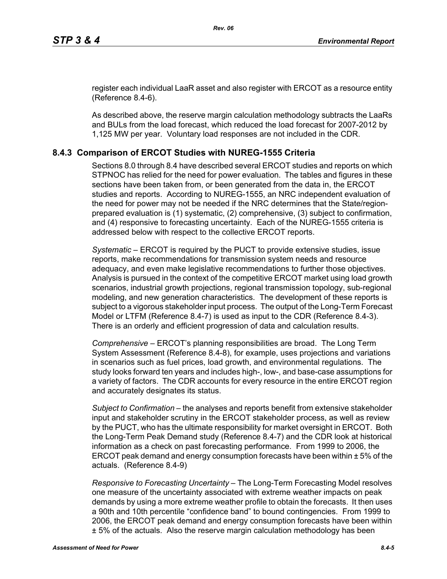[register each individual LaaR asset and also register with ERCOT as a resource entity](http://www.ercot.com/services/rq/re/index.html)  (Reference 8.4-6).

As described above, the reserve margin calculation methodology subtracts the LaaRs and BULs from the load forecast, which reduced the load forecast for 2007-2012 by 1,125 MW per year. Voluntary load responses are not included in the CDR.

#### **8.4.3 Comparison of ERCOT Studies with NUREG-1555 Criteria**

Sections 8.0 through 8.4 have described several ERCOT studies and reports on which STPNOC has relied for the need for power evaluation. The tables and figures in these sections have been taken from, or been generated from the data in, the ERCOT studies and reports. According to NUREG-1555, an NRC independent evaluation of the need for power may not be needed if the NRC determines that the State/regionprepared evaluation is (1) systematic, (2) comprehensive, (3) subject to confirmation, and (4) responsive to forecasting uncertainty. Each of the NUREG-1555 criteria is addressed below with respect to the collective ERCOT reports.

*Systematic* – ERCOT is required by the PUCT to provide extensive studies, issue reports, make recommendations for transmission system needs and resource adequacy, and even make legislative recommendations to further those objectives. Analysis is pursued in the context of the competitive ERCOT market using load growth scenarios, industrial growth projections, regional transmission topology, sub-regional modeling, and new generation characteristics. The development of these reports is subject to a vigorous stakeholder input process. The output of the Long-Term Forecast Model or LTFM (Reference 8.4-7) is used as input to the CDR (Reference 8.4-3). There is an orderly and efficient progression of data and calculation results.

*Comprehensive* – ERCOT's planning responsibilities are broad. The Long Term System Assessment (Reference 8.4-8), for example, uses projections and variations in scenarios such as fuel prices, load growth, and environmental regulations. The study looks forward ten years and includes high-, low-, and base-case assumptions for a variety of factors. The CDR accounts for every resource in the entire ERCOT region and accurately designates its status.

*Subject to Confirmation* – the analyses and reports benefit from extensive stakeholder input and stakeholder scrutiny in the ERCOT stakeholder process, as well as review by the PUCT, who has the ultimate responsibility for market oversight in ERCOT. Both the Long-Term Peak Demand study (Reference 8.4-7) and the CDR look at historical information as a check on past forecasting performance. From 1999 to 2006, the ERCOT peak demand and energy consumption forecasts have been within ± 5% of the actuals. (Reference 8.4-9)

*Responsive to Forecasting Uncertainty* – The Long-Term Forecasting Model resolves one measure of the uncertainty associated with extreme weather impacts on peak demands by using a more extreme weather profile to obtain the forecasts. It then uses a 90th and 10th percentile "confidence band" to bound contingencies. From 1999 to 2006, the ERCOT peak demand and energy consumption forecasts have been within ± 5% of the actuals. Also the reserve margin calculation methodology has been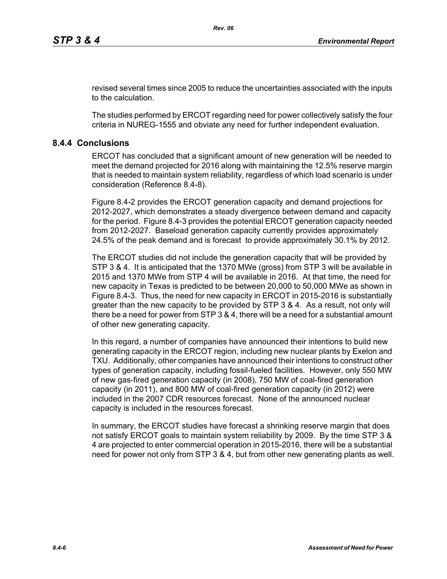revised several times since 2005 to reduce the uncertainties associated with the inputs to the calculation.

The studies performed by ERCOT regarding need for power collectively satisfy the four criteria in NUREG-1555 and obviate any need for further independent evaluation.

### **8.4.4 Conclusions**

ERCOT has concluded that a significant amount of new generation will be needed to meet the demand projected for 2016 along with maintaining the 12.5% reserve margin that is needed to maintain system reliability, regardless of which load scenario is under consideration (Reference 8.4-8).

Figure 8.4-2 provides the ERCOT generation capacity and demand projections for 2012-2027, which demonstrates a steady divergence between demand and capacity for the period. Figure 8.4-3 provides the potential ERCOT generation capacity needed from 2012-2027. Baseload generation capacity currently provides approximately 24.5% of the peak demand and is forecast to provide approximately 30.1% by 2012.

The ERCOT studies did not include the generation capacity that will be provided by STP 3 & 4. It is anticipated that the 1370 MWe (gross) from STP 3 will be available in 2015 and 1370 MWe from STP 4 will be available in 2016. At that time, the need for new capacity in Texas is predicted to be between 20,000 to 50,000 MWe as shown in Figure 8.4-3. Thus, the need for new capacity in ERCOT in 2015-2016 is substantially greater than the new capacity to be provided by STP 3 & 4. As a result, not only will there be a need for power from STP 3 & 4, there will be a need for a substantial amount of other new generating capacity.

In this regard, a number of companies have announced their intentions to build new generating capacity in the ERCOT region, including new nuclear plants by Exelon and TXU. Additionally, other companies have announced their intentions to construct other types of generation capacity, including fossil-fueled facilities. However, only 550 MW of new gas-fired generation capacity (in 2008), 750 MW of coal-fired generation capacity (in 2011), and 800 MW of coal-fired generation capacity (in 2012) were included in the 2007 CDR resources forecast. None of the announced nuclear capacity is included in the resources forecast.

In summary, the ERCOT studies have forecast a shrinking reserve margin that does not satisfy ERCOT goals to maintain system reliability by 2009. By the time STP 3 & 4 are projected to enter commercial operation in 2015-2016, there will be a substantial need for power not only from STP 3 & 4, but from other new generating plants as well.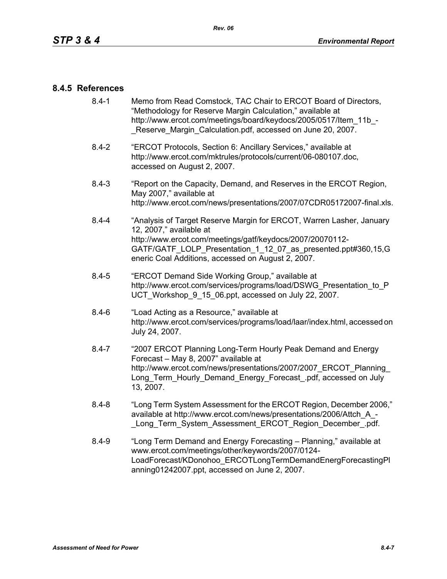#### **8.4.5 References**

- [8.4-1 Memo from Read Comstock, TAC Chair to ERCOT Board of Directors,](http://www.ercot.com/meetings/board/keydocs/2005/0517/Item_11b_-_Reserve_Margin_Calculation.pdf)  "Methodology for Reserve Margin Calculation," available at http://www.ercot.com/meetings/board/keydocs/2005/0517/Item\_11b\_-Reserve Margin Calculation.pdf, accessed on June 20, 2007.
- [8.4-2 "ERCOT Protocols, Section 6: Ancillary Services," available at](http://www.ercot.com/mktrules/protocols/current/06-080107.doc)  http://www.ercot.com/mktrules/protocols/current/06-080107.doc, accessed on August 2, 2007.
- 8.4-3 "Report on the Capacity, Demand, and Reserves in the ERCOT Region, May 2007," available at http://www.ercot.com/news/presentations/2007/07CDR05172007-final.xls.
- 8.4-4 "Analysis of Target Reserve Margin for ERCOT, Warren Lasher, January 12, 2007," available at http://www.ercot.com/meetings/gatf/keydocs/2007/20070112- GATF/GATF\_LOLP\_Presentation\_1\_12\_07\_as\_presented.ppt#360,15,G eneric Coal Additions, accessed on August 2, 2007.
- 8.4-5 "ERCOT Demand Side Working Group," available at [http://www.ercot.com/services/programs/load/DSWG\\_Presentation\\_to\\_P](http://www.ercot.com/services/programs/load/DSWG_Presentation_to_PUCT_Workshop_9_15_06.ppt) UCT\_Workshop\_9\_15\_06.ppt, accessed on July 22, 2007.
- 8.4-6 "Load Acting as a Resource," available at [http://www.ercot.com/services/programs/load/laar/index.html, accessed on](http://www.ercot.com/services/programs/load/laar/index.html)  July 24, 2007.
- [8.4-7 "2007 ERCOT Planning Long-Term Hourly Peak Demand and Energy](http://www.ercot.com/news/presentations/2007/2007_ERCOT_Planning_Long_Term_Hourly_Demand_Energy_Forecast_.pdf)  Forecast – May 8, 2007" available at http://www.ercot.com/news/presentations/2007/2007\_ERCOT\_Planning Long Term Hourly Demand Energy Forecast .pdf, accessed on July 13, 2007.
- 8.4-8 "Long Term System Assessment for the ERCOT Region, December 2006," available at http://www.ercot.com/news/presentations/2006/Attch\_A\_- Long Term System Assessment ERCOT Region December .pdf.
- 8.4-9 ["Long Term Demand and Energy Forecasting Planning," available at](http://www.ercot.com/meetings/other/keywords/2007/0124-LoadForecast/KDonohoo_ERCOTLongTermDemandEnergForecastingPlanning01242007.ppt)  www.ercot.com/meetings/other/keywords/2007/0124- [LoadForecast/KDonohoo\\_ERCOTLongTermDemandEnergForecastingPl](http://www.ercot.com/meetings/other/keywords/2007/0124-LoadForecast/KDonohoo_ERCOTLongTermDemandEnergForecastingPlanning01242007.ppt) [anning01242007.ppt, accessed on June 2, 2007.](http://www.ercot.com/meetings/other/keywords/2007/0124-LoadForecast/KDonohoo_ERCOTLongTermDemandEnergForecastingPlanning01242007.ppt)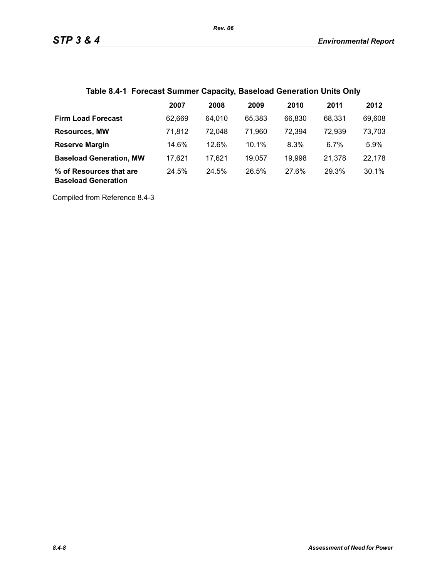## **Table 8.4-1 Forecast Summer Capacity, Baseload Generation Units Only**

|                                                       | 2007   | 2008   | 2009   | 2010   | 2011   | 2012   |
|-------------------------------------------------------|--------|--------|--------|--------|--------|--------|
| <b>Firm Load Forecast</b>                             | 62.669 | 64.010 | 65.383 | 66,830 | 68.331 | 69,608 |
| <b>Resources, MW</b>                                  | 71,812 | 72.048 | 71.960 | 72,394 | 72,939 | 73,703 |
| <b>Reserve Margin</b>                                 | 14.6%  | 12.6%  | 10.1%  | 8.3%   | 6.7%   | 5.9%   |
| <b>Baseload Generation, MW</b>                        | 17.621 | 17.621 | 19,057 | 19,998 | 21,378 | 22,178 |
| % of Resources that are<br><b>Baseload Generation</b> | 24.5%  | 24.5%  | 26.5%  | 27.6%  | 29.3%  | 30.1%  |

Compiled from Reference 8.4-3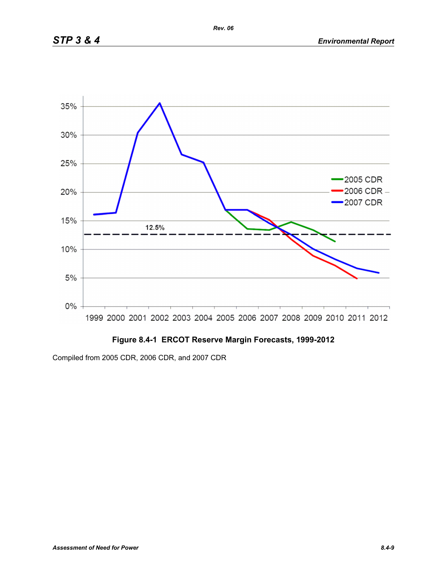

## **Figure 8.4-1 ERCOT Reserve Margin Forecasts, 1999-2012**

Compiled from 2005 CDR, 2006 CDR, and 2007 CDR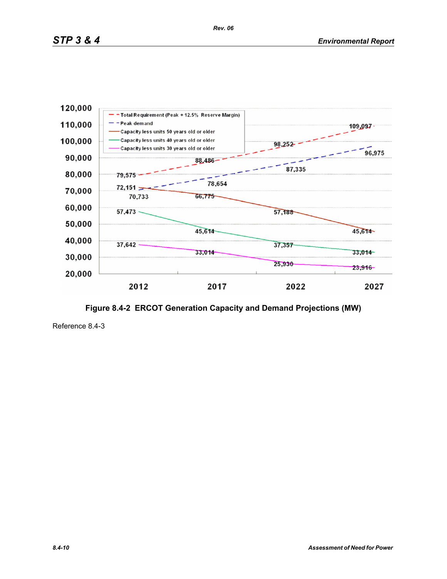

**Figure 8.4-2 ERCOT Generation Capacity and Demand Projections (MW)**

Reference 8.4-3